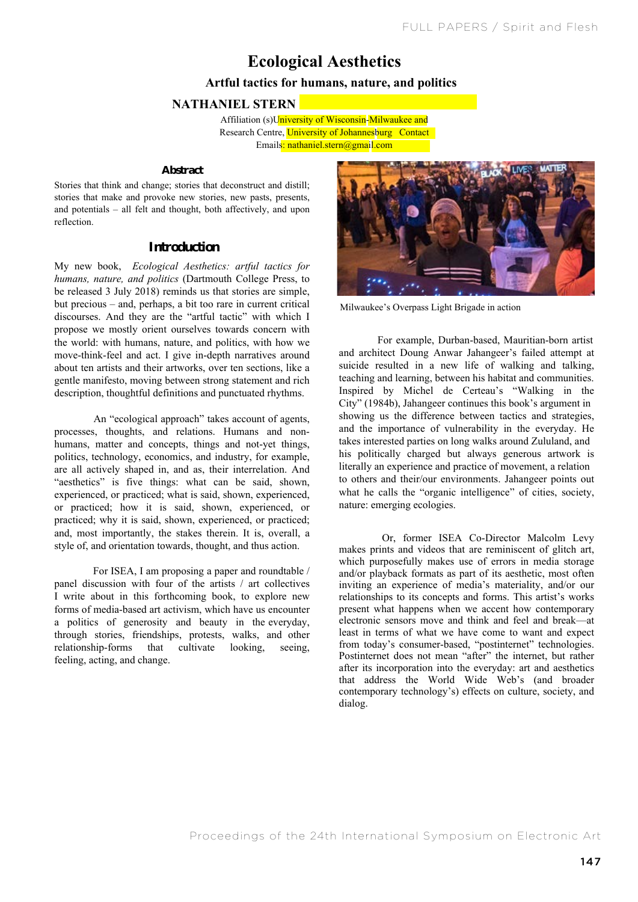# **Ecological Aesthetics**

## **Artful tactics for humans, nature, and politics**

## **NATHANIEL STERN**

**Example 26 Achieves: Artical tactic for the human system of Johannesburg Contact** Affiliation (s)University of Wisconsin-Milwaukee and Emails: nathaniel.stern@gmail.com

#### **Abstract**

Stories that think and change; stories that deconstruct and distill; stories that make and provoke new stories, new pasts, presents, and potentials – all felt and thought, both affectively, and upon reflection.

## **Introduction**

My new book, *Ecological Aesthetics: artful tactics for humans, nature, and politics* (Dartmouth College Press, to be released 3 July 2018) reminds us that stories are simple, but precious – and, perhaps, a bit too rare in current critical discourses. And they are the "artful tactic" with which I propose we mostly orient ourselves towards concern with the world: with humans, nature, and politics, with how we move-think-feel and act. I give in-depth narratives around about ten artists and their artworks, over ten sections, like a gentle manifesto, moving between strong statement and rich description, thoughtful definitions and punctuated rhythms.

An "ecological approach" takes account of agents, processes, thoughts, and relations. Humans and nonhumans, matter and concepts, things and not-yet things, politics, technology, economics, and industry, for example, are all actively shaped in, and as, their interrelation. And "aesthetics" is five things: what can be said, shown, experienced, or practiced; what is said, shown, experienced, or practiced; how it is said, shown, experienced, or practiced; why it is said, shown, experienced, or practiced; and, most importantly, the stakes therein. It is, overall, a style of, and orientation towards, thought, and thus action.

For ISEA, I am proposing a paper and roundtable / panel discussion with four of the artists / art collectives I write about in this forthcoming book, to explore new forms of media-based art activism, which have us encounter a politics of generosity and beauty in the everyday, through stories, friendships, protests, walks, and other relationship-forms that cultivate looking, seeing, feeling, acting, and change.



Milwaukee's Overpass Light Brigade in action

For example, Durban-based, Mauritian-born artist and architect Doung Anwar Jahangeer's failed attempt at suicide resulted in a new life of walking and talking, teaching and learning, between his habitat and communities. Inspired by Michel de Certeau's "Walking in the City" (1984b), Jahangeer continues this book's argument in showing us the difference between tactics and strategies, and the importance of vulnerability in the everyday. He takes interested parties on long walks around Zululand, and his politically charged but always generous artwork is literally an experience and practice of movement, a relation to others and their/our environments. Jahangeer points out what he calls the "organic intelligence" of cities, society, nature: emerging ecologies.

Or, former ISEA Co-Director Malcolm Levy makes prints and videos that are reminiscent of glitch art, which purposefully makes use of errors in media storage and/or playback formats as part of its aesthetic, most often inviting an experience of media's materiality, and/or our relationships to its concepts and forms. This artist's works present what happens when we accent how contemporary electronic sensors move and think and feel and break—at least in terms of what we have come to want and expect from today's consumer-based, "postinternet" technologies. Postinternet does not mean "after" the internet, but rather after its incorporation into the everyday: art and aesthetics that address the World Wide Web's (and broader contemporary technology's) effects on culture, society, and dialog.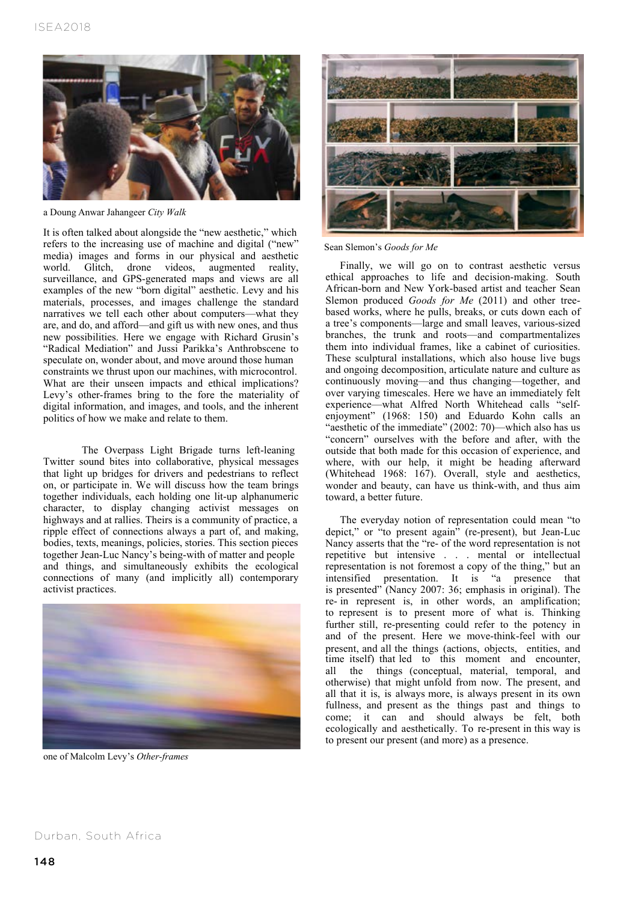

a Doung Anwar Jahangeer *City Walk*

It is often talked about alongside the "new aesthetic," which refers to the increasing use of machine and digital ("new" media) images and forms in our physical and aesthetic world. Glitch, drone videos, augmented reality, surveillance, and GPS-generated maps and views are all examples of the new "born digital" aesthetic. Levy and his materials, processes, and images challenge the standard narratives we tell each other about computers—what they are, and do, and afford—and gift us with new ones, and thus new possibilities. Here we engage with Richard Grusin's "Radical Mediation" and Jussi Parikka's Anthrobscene to speculate on, wonder about, and move around those human constraints we thrust upon our machines, with microcontrol. What are their unseen impacts and ethical implications? Levy's other-frames bring to the fore the materiality of digital information, and images, and tools, and the inherent politics of how we make and relate to them.

The Overpass Light Brigade turns left-leaning Twitter sound bites into collaborative, physical messages that light up bridges for drivers and pedestrians to reflect on, or participate in. We will discuss how the team brings together individuals, each holding one lit-up alphanumeric character, to display changing activist messages on highways and at rallies. Theirs is a community of practice, a ripple effect of connections always a part of, and making, bodies, texts, meanings, policies, stories. This section pieces together Jean-Luc Nancy's being-with of matter and people and things, and simultaneously exhibits the ecological connections of many (and implicitly all) contemporary activist practices.



one of Malcolm Levy's *Other-frames*



Sean Slemon's *Goods for Me*

Finally, we will go on to contrast aesthetic versus ethical approaches to life and decision-making. South African-born and New York-based artist and teacher Sean Slemon produced *Goods for Me* (2011) and other treebased works, where he pulls, breaks, or cuts down each of a tree's components—large and small leaves, various-sized branches, the trunk and roots—and compartmentalizes them into individual frames, like a cabinet of curiosities. These sculptural installations, which also house live bugs and ongoing decomposition, articulate nature and culture as continuously moving—and thus changing—together, and over varying timescales. Here we have an immediately felt experience—what Alfred North Whitehead calls "selfenjoyment" (1968: 150) and Eduardo Kohn calls an "aesthetic of the immediate" (2002: 70)—which also has us "concern" ourselves with the before and after, with the outside that both made for this occasion of experience, and where, with our help, it might be heading afterward (Whitehead 1968: 167). Overall, style and aesthetics, wonder and beauty, can have us think-with, and thus aim toward, a better future.

The everyday notion of representation could mean "to depict," or "to present again" (re-present), but Jean-Luc Nancy asserts that the "re- of the word representation is not repetitive but intensive . . . mental or intellectual representation is not foremost a copy of the thing," but an intensified presentation. It is "a presence that is presented" (Nancy 2007: 36; emphasis in original). The re- in represent is, in other words, an amplification; to represent is to present more of what is. Thinking further still, re-presenting could refer to the potency in and of the present. Here we move-think-feel with our present, and all the things (actions, objects, entities, and time itself) that led to this moment and encounter, all the things (conceptual, material, temporal, and otherwise) that might unfold from now. The present, and all that it is, is always more, is always present in its own fullness, and present as the things past and things to come; it can and should always be felt, both ecologically and aesthetically. To re-present in this way is to present our present (and more) as a presence.